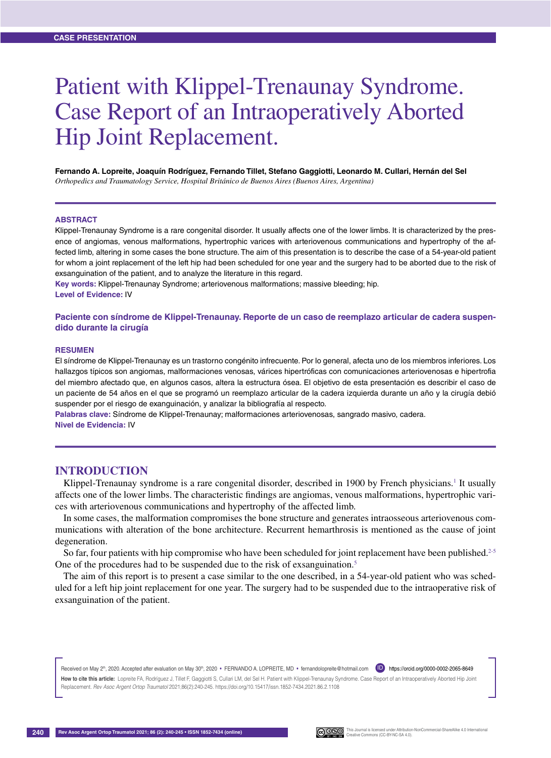# Patient with Klippel-Trenaunay Syndrome. Case Report of an Intraoperatively Aborted Hip Joint Replacement.

**Fernando A. Lopreite, Joaquín Rodríguez, Fernando Tillet, Stefano Gaggiotti, Leonardo M. Cullari, Hernán del Sel** *Orthopedics and Traumatology Service, Hospital Británico de Buenos Aires (Buenos Aires, Argentina)*

#### **Abstract**

Klippel-Trenaunay Syndrome is a rare congenital disorder. It usually affects one of the lower limbs. It is characterized by the presence of angiomas, venous malformations, hypertrophic varices with arteriovenous communications and hypertrophy of the affected limb, altering in some cases the bone structure. The aim of this presentation is to describe the case of a 54-year-old patient for whom a joint replacement of the left hip had been scheduled for one year and the surgery had to be aborted due to the risk of exsanguination of the patient, and to analyze the literature in this regard.

**Key words:** Klippel-Trenaunay Syndrome; arteriovenous malformations; massive bleeding; hip. **Level of Evidence:** IV

**Paciente con síndrome de Klippel-Trenaunay. Reporte de un caso de reemplazo articular de cadera suspendido durante la cirugía** 

#### **Resumen**

El síndrome de Klippel-Trenaunay es un trastorno congénito infrecuente. Por lo general, afecta uno de los miembros inferiores. Los hallazgos típicos son angiomas, malformaciones venosas, várices hipertróficas con comunicaciones arteriovenosas e hipertrofia del miembro afectado que, en algunos casos, altera la estructura ósea. El objetivo de esta presentación es describir el caso de un paciente de 54 años en el que se programó un reemplazo articular de la cadera izquierda durante un año y la cirugía debió suspender por el riesgo de exanguinación, y analizar la bibliografía al respecto.

**Palabras clave:** Síndrome de Klippel-Trenaunay; malformaciones arteriovenosas, sangrado masivo, cadera. **Nivel de Evidencia:** IV

## **Introduction**

Klippel-Trenaunay syndrome is a rare congenital disorder, described in 1900 by French physicians.<sup>1</sup> It usually affects one of the lower limbs. The characteristic findings are angiomas, venous malformations, hypertrophic varices with arteriovenous communications and hypertrophy of the affected limb.

In some cases, the malformation compromises the bone structure and generates intraosseous arteriovenous communications with alteration of the bone architecture. Recurrent hemarthrosis is mentioned as the cause of joint degeneration.

So far, four patients with hip compromise who have been scheduled for joint replacement have been published.<sup>2-5</sup> One of the procedures had to be suspended due to the risk of exsanguination.<sup>5</sup>

The aim of this report is to present a case similar to the one described, in a 54-year-old patient who was scheduled for a left hip joint replacement for one year. The surgery had to be suspended due to the intraoperative risk of exsanguination of the patient.

Received on May 2<sup>th</sup>, 2020. Accepted after evaluation on May 30<sup>th</sup>, 2020 • FERNANDO A. LOPREITE, MD • fernandolopreite@hotmail.com (ID) https://orcid.org/0000-0002-2065-8649

How to cite this article: Lopreite FA, Rodríguez J, Tillet F, Gaggiotti S, Cullari LM, del Sel H. Patient with Klippel-Trenaunay Syndrome. Case Report of an Intraoperatively Aborted Hip Joint Replacement. *Rev Asoc Argent Ortop Traumatol* 2021;86(2):240-245. https://doi.org/10.15417/issn.1852-7434.2021.86.2.1108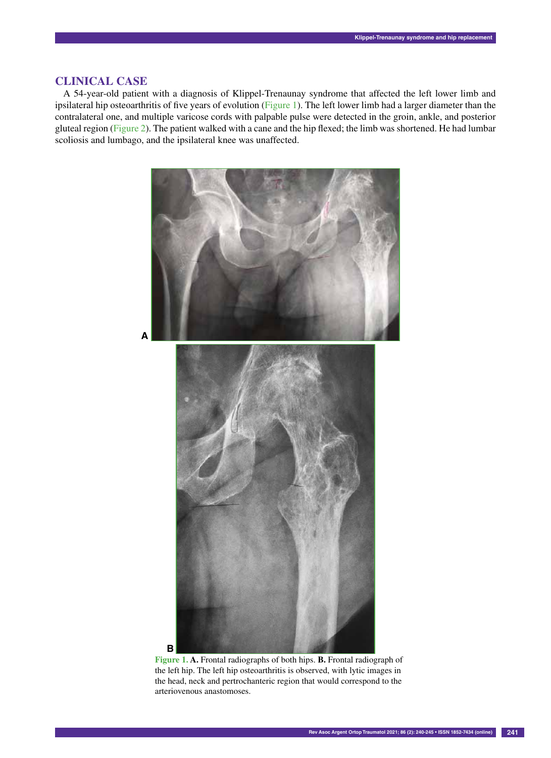## **Clinical Case**

A 54-year-old patient with a diagnosis of Klippel-Trenaunay syndrome that affected the left lower limb and ipsilateral hip osteoarthritis of five years of evolution (Figure 1). The left lower limb had a larger diameter than the contralateral one, and multiple varicose cords with palpable pulse were detected in the groin, ankle, and posterior gluteal region (Figure 2). The patient walked with a cane and the hip flexed; the limb was shortened. He had lumbar scoliosis and lumbago, and the ipsilateral knee was unaffected.



**Figure 1. A.** Frontal radiographs of both hips. **B.** Frontal radiograph of the left hip. The left hip osteoarthritis is observed, with lytic images in the head, neck and pertrochanteric region that would correspond to the arteriovenous anastomoses.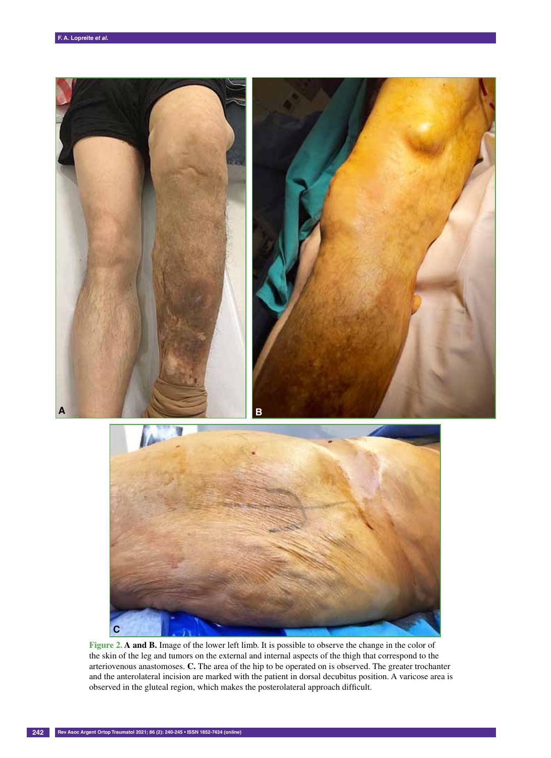



Figure 2. A and B. Image of the lower left limb. It is possible to observe the change in the color of the skin of the leg and tumors on the external and internal aspects of the thigh that correspond to the arteriovenous anastomoses. **C.** The area of the hip to be operated on is observed. The greater trochanter and the anterolateral incision are marked with the patient in dorsal decubitus position. A varicose area is observed in the gluteal region, which makes the posterolateral approach difficult.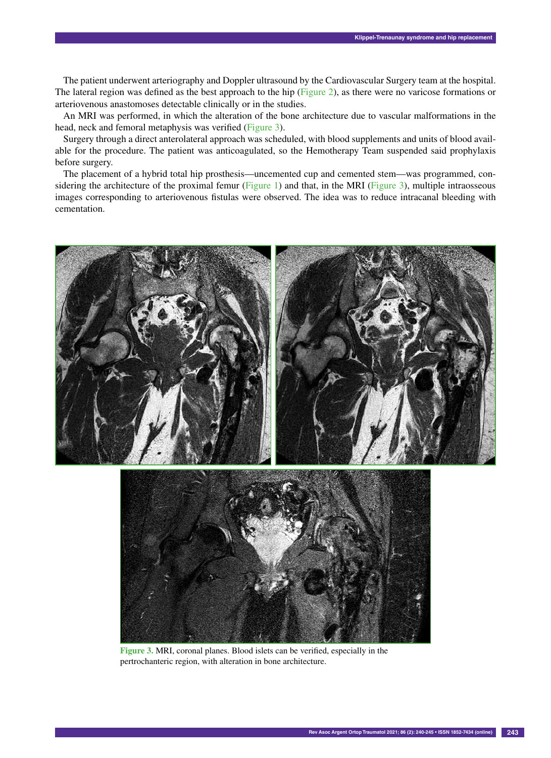The patient underwent arteriography and Doppler ultrasound by the Cardiovascular Surgery team at the hospital. The lateral region was defined as the best approach to the hip (Figure 2), as there were no varicose formations or arteriovenous anastomoses detectable clinically or in the studies.

An MRI was performed, in which the alteration of the bone architecture due to vascular malformations in the head, neck and femoral metaphysis was verified (Figure 3).

Surgery through a direct anterolateral approach was scheduled, with blood supplements and units of blood available for the procedure. The patient was anticoagulated, so the Hemotherapy Team suspended said prophylaxis before surgery.

The placement of a hybrid total hip prosthesis—uncemented cup and cemented stem—was programmed, considering the architecture of the proximal femur (Figure 1) and that, in the MRI (Figure 3), multiple intraosseous images corresponding to arteriovenous fistulas were observed. The idea was to reduce intracanal bleeding with cementation.



**Figure 3.** MRI, coronal planes. Blood islets can be verified, especially in the pertrochanteric region, with alteration in bone architecture.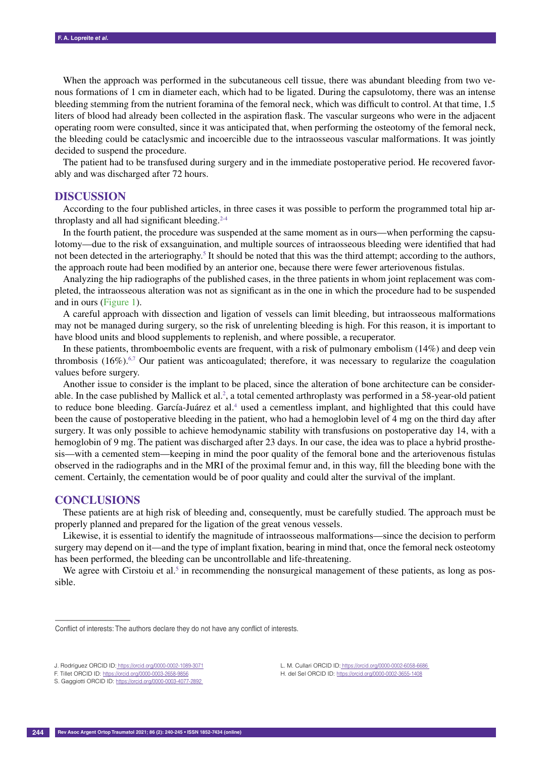When the approach was performed in the subcutaneous cell tissue, there was abundant bleeding from two venous formations of 1 cm in diameter each, which had to be ligated. During the capsulotomy, there was an intense bleeding stemming from the nutrient foramina of the femoral neck, which was difficult to control. At that time, 1.5 liters of blood had already been collected in the aspiration flask. The vascular surgeons who were in the adjacent operating room were consulted, since it was anticipated that, when performing the osteotomy of the femoral neck, the bleeding could be cataclysmic and incoercible due to the intraosseous vascular malformations. It was jointly decided to suspend the procedure.

The patient had to be transfused during surgery and in the immediate postoperative period. He recovered favorably and was discharged after 72 hours.

#### **Discussion**

According to the four published articles, in three cases it was possible to perform the programmed total hip arthroplasty and all had significant bleeding. $2-4$ 

In the fourth patient, the procedure was suspended at the same moment as in ours—when performing the capsulotomy—due to the risk of exsanguination, and multiple sources of intraosseous bleeding were identified that had not been detected in the arteriography.<sup>5</sup> It should be noted that this was the third attempt; according to the authors, the approach route had been modified by an anterior one, because there were fewer arteriovenous fistulas.

Analyzing the hip radiographs of the published cases, in the three patients in whom joint replacement was completed, the intraosseous alteration was not as significant as in the one in which the procedure had to be suspended and in ours (Figure 1).

A careful approach with dissection and ligation of vessels can limit bleeding, but intraosseous malformations may not be managed during surgery, so the risk of unrelenting bleeding is high. For this reason, it is important to have blood units and blood supplements to replenish, and where possible, a recuperator.

In these patients, thromboembolic events are frequent, with a risk of pulmonary embolism (14%) and deep vein thrombosis (16%).<sup>6,7</sup> Our patient was anticoagulated; therefore, it was necessary to regularize the coagulation values before surgery.

Another issue to consider is the implant to be placed, since the alteration of bone architecture can be considerable. In the case published by Mallick et al.<sup>2</sup>, a total cemented arthroplasty was performed in a 58-year-old patient to reduce bone bleeding. García-Juárez et al.<sup>4</sup> used a cementless implant, and highlighted that this could have been the cause of postoperative bleeding in the patient, who had a hemoglobin level of 4 mg on the third day after surgery. It was only possible to achieve hemodynamic stability with transfusions on postoperative day 14, with a hemoglobin of 9 mg. The patient was discharged after 23 days. In our case, the idea was to place a hybrid prosthesis—with a cemented stem—keeping in mind the poor quality of the femoral bone and the arteriovenous fistulas observed in the radiographs and in the MRI of the proximal femur and, in this way, fill the bleeding bone with the cement. Certainly, the cementation would be of poor quality and could alter the survival of the implant.

### **Conclusions**

––––––––––––––––––

These patients are at high risk of bleeding and, consequently, must be carefully studied. The approach must be properly planned and prepared for the ligation of the great venous vessels.

Likewise, it is essential to identify the magnitude of intraosseous malformations—since the decision to perform surgery may depend on it—and the type of implant fixation, bearing in mind that, once the femoral neck osteotomy has been performed, the bleeding can be uncontrollable and life-threatening.

We agree with Cirstoiu et al.<sup>5</sup> in recommending the nonsurgical management of these patients, as long as possible.

L. M. Cullari ORCID ID: https://orcid.org/0000-0002-6058-6686 H. del Sel ORCID ID: https://orcid.org/0000-0002-3655-1408

Conflict of interests: The authors declare they do not have any conflict of interests.

J. Rodríguez ORCID ID: https://orcid.org/0000-0002-1089-3071

F. Tillet ORCID ID: https://orcid.org/0000-0003-2658-9856

S. Gaggiotti ORCID ID: https://orcid.org/0000-0003-4077-2892